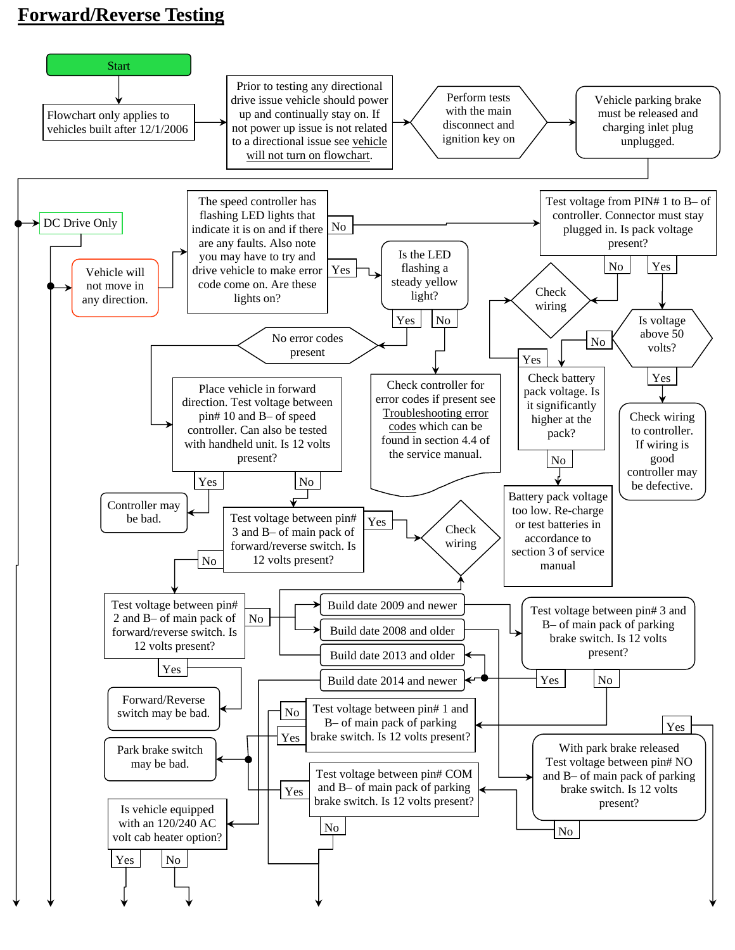## **Forward/Reverse Testing**

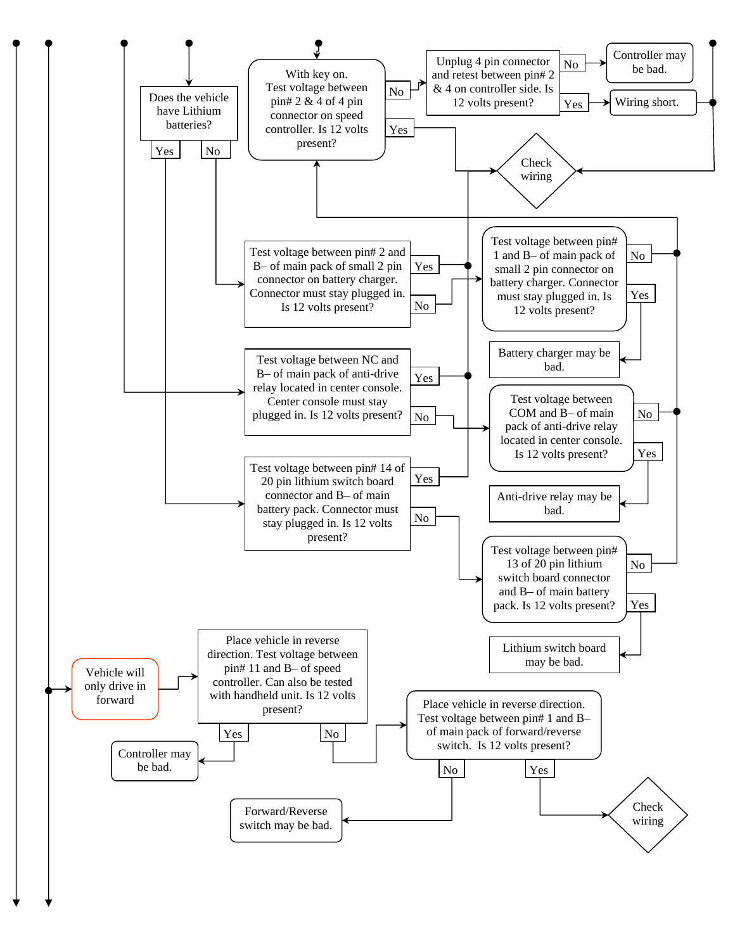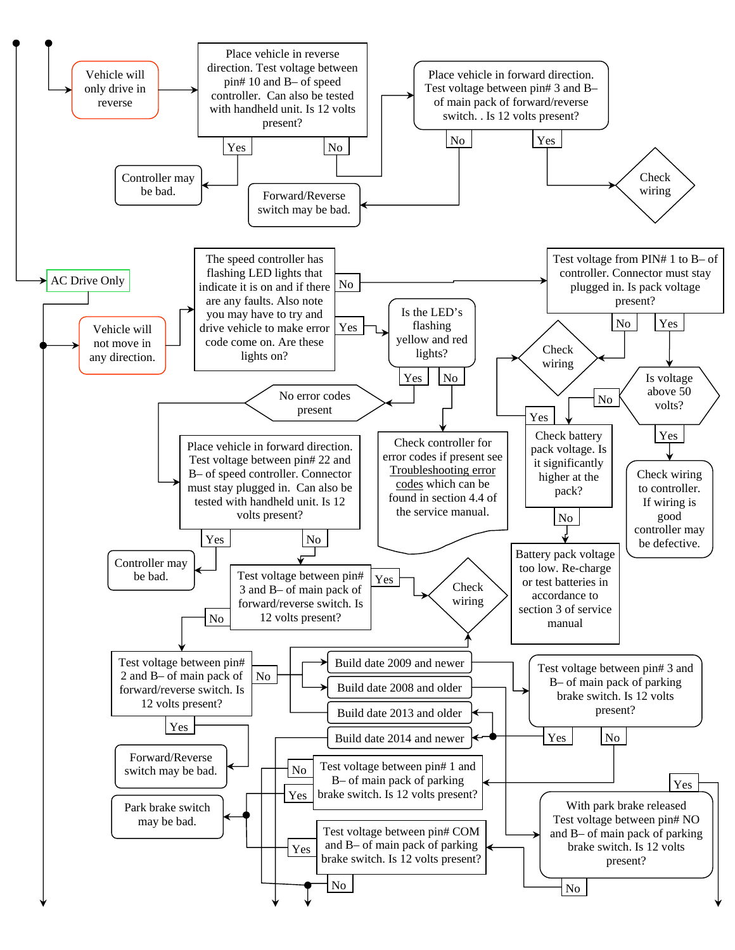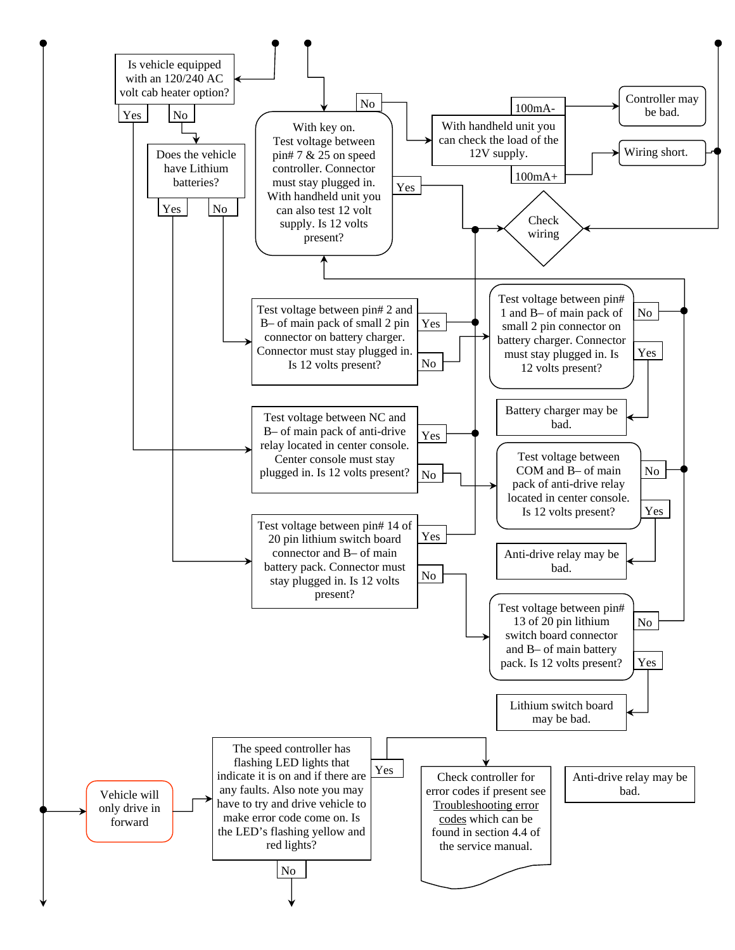